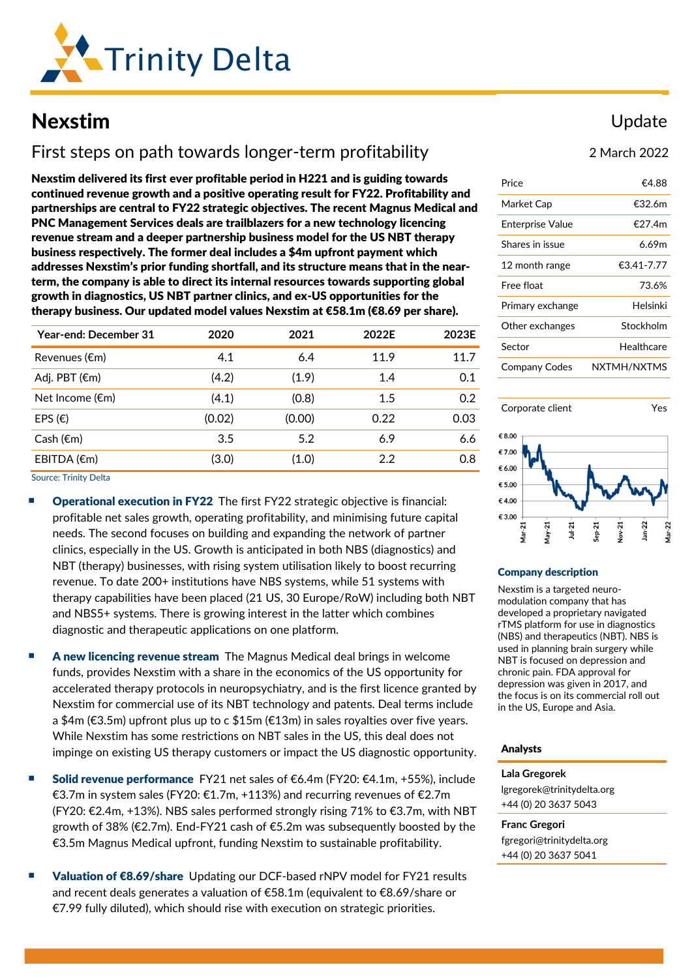

# Nexstim

# First steps on path towards longer-term profitability

Nexstim delivered its first ever profitable period in H221 and is guiding towards continued revenue growth and a positive operating result for FY22. Profitability and partnerships are central to FY22 strategic objectives. The recent Magnus Medical and PNC Management Services deals are trailblazers for a new technology licencing revenue stream and a deeper partnership business model for the US NBT therapy business respectively. The former deal includes a \$4m upfront payment which addresses Nexstim's prior funding shortfall, and its structure means that in the nearterm, the company is able to direct its internal resources towards supporting global growth in diagnostics, US NBT partner clinics, and ex-US opportunities for the therapy business. Our updated model values Nexstim at €58.1m (€8.69 per share).

| Year-end: December 31     | 2020   | 2021   | 2022E   | 2023E |
|---------------------------|--------|--------|---------|-------|
| Revenues (€m)             | 4.1    | 6.4    | 11.9    | 11.7  |
| Adj. PBT $(\epsilon m)$   | (4.2)  | (1.9)  | 1.4     | 0.1   |
| Net Income $(\epsilon m)$ | (4.1)  | (0.8)  | $1.5\,$ | 0.2   |
| EPS $(\epsilon)$          | (0.02) | (0.00) | 0.22    | 0.03  |
| Cash $(\epsilon m)$       | 3.5    | 5.2    | 6.9     | 6.6   |
| EBITDA (€m)               | (3.0)  | (1.0)  | 2.2     | 0.8   |

Source: Trinity Delta

- Operational execution in FY22 The first FY22 strategic objective is financial: profitable net sales growth, operating profitability, and minimising future capital needs. The second focuses on building and expanding the network of partner clinics, especially in the US. Growth is anticipated in both NBS (diagnostics) and NBT (therapy) businesses, with rising system utilisation likely to boost recurring revenue. To date 200+ institutions have NBS systems, while 51 systems with therapy capabilities have been placed (21 US, 30 Europe/RoW) including both NBT and NBS5+ systems. There is growing interest in the latter which combines diagnostic and therapeutic applications on one platform.
- A new licencing revenue stream The Magnus Medical deal brings in welcome funds, provides Nexstim with a share in the economics of the US opportunity for accelerated therapy protocols in neuropsychiatry, and is the first licence granted by Nexstim for commercial use of its NBT technology and patents. Deal terms include a \$4m (€3.5m) upfront plus up to c \$15m (€13m) in sales royalties over five years. While Nexstim has some restrictions on NBT sales in the US, this deal does not impinge on existing US therapy customers or impact the US diagnostic opportunity.
- Solid revenue performance FY21 net sales of €6.4m (FY20:  $€4.1m$ , +55%), include €3.7m in system sales (FY20: €1.7m, +113%) and recurring revenues of €2.7m (FY20: €2.4m, +13%). NBS sales performed strongly rising 71% to €3.7m, with NBT growth of 38% (€2.7m). End-FY21 cash of €5.2m was subsequently boosted by the €3.5m Magnus Medical upfront, funding Nexstim to sustainable profitability.
- Valuation of €8.69/share Updating our DCF-based rNPV model for FY21 results and recent deals generates a valuation of €58.1m (equivalent to €8.69/share or €7.99 fully diluted), which should rise with execution on strategic priorities.

## Update

2 March 2022

| Price                | €4 88       |  |  |  |
|----------------------|-------------|--|--|--|
| Market Cap           | €32 6m      |  |  |  |
| Enterprise Value     | €27.4m      |  |  |  |
| Shares in issue      | 6.69m       |  |  |  |
| 12 month range       | €3.41-7.77  |  |  |  |
| Free float           | 73.6%       |  |  |  |
| Primary exchange     | Helsinki    |  |  |  |
| Other exchanges      | Stockholm   |  |  |  |
| Sector               | Healthcare  |  |  |  |
| <b>Company Codes</b> | NXTMH/NXTMS |  |  |  |



#### Company description

Nexstim is a targeted neuromodulation company that has developed a proprietary navigated rTMS platform for use in diagnostics (NBS) and therapeutics (NBT). NBS is used in planning brain surgery while NBT is focused on depression and chronic pain. FDA approval for depression was given in 2017, and the focus is on its commercial roll out in the US, Europe and Asia.

#### Analysts

**Lala Gregorek** [lgregorek@trinitydelta.org](mailto:lgregorek@trinitydelta.org) +44 (0) 20 3637 5043

**Franc Gregori** [fgregori@trinitydelta.org](mailto:lgregorek@trinitydelta.org) +44 (0) 20 3637 5041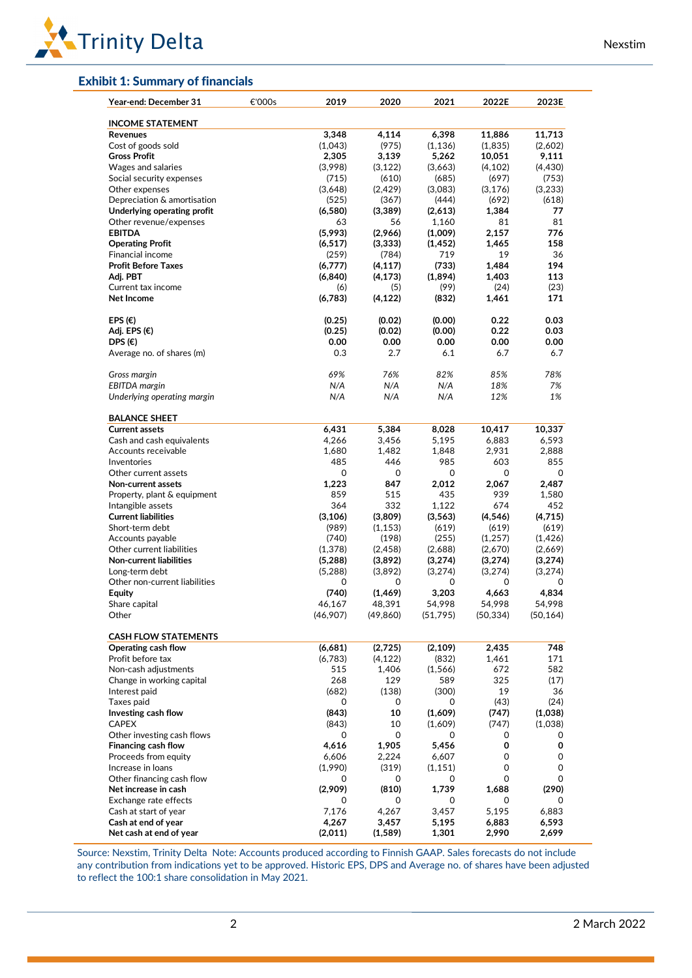

### Exhibit 1: Summary of financials

| Year-end: December 31                         | €'000s | 2019         | 2020      | 2021         | 2022E        | 2023E     |
|-----------------------------------------------|--------|--------------|-----------|--------------|--------------|-----------|
| <b>INCOME STATEMENT</b>                       |        |              |           |              |              |           |
| Revenues                                      |        | 3,348        | 4,114     | 6,398        | 11,886       | 11,713    |
| Cost of goods sold                            |        | (1,043)      | (975)     | (1, 136)     | (1,835)      | (2,602)   |
| <b>Gross Profit</b>                           |        | 2,305        | 3,139     | 5,262        | 10,051       | 9,111     |
| Wages and salaries                            |        | (3,998)      | (3, 122)  | (3,663)      | (4, 102)     | (4, 430)  |
| Social security expenses                      |        | (715)        | (610)     | (685)        | (697)        | (753)     |
| Other expenses                                |        | (3,648)      | (2, 429)  | (3,083)      | (3, 176)     | (3,233)   |
| Depreciation & amortisation                   |        | (525)        | (367)     | (444)        | (692)        | (618)     |
| Underlying operating profit                   |        | (6,580)      | (3,389)   | (2,613)      | 1,384        | 77        |
| Other revenue/expenses                        |        | 63           | 56        | 1,160        | 81           | 81        |
| <b>EBITDA</b>                                 |        | (5,993)      | (2,966)   | (1,009)      | 2,157        | 776       |
| <b>Operating Profit</b>                       |        | (6, 517)     | (3, 333)  | (1, 452)     | 1,465        | 158       |
| <b>Financial income</b>                       |        | (259)        | (784)     | 719          | 19           | 36        |
| <b>Profit Before Taxes</b>                    |        | (6,777)      | (4, 117)  | (733)        | 1,484        | 194       |
| Adj. PBT                                      |        | (6, 840)     | (4, 173)  | (1,894)      | 1,403        | 113       |
| Current tax income                            |        | (6)          | (5)       | (99)         | (24)         | (23)      |
| Net Income                                    |        | (6,783)      | (4, 122)  | (832)        | 1,461        | 171       |
|                                               |        |              |           |              |              |           |
| EPS $(\epsilon)$                              |        | (0.25)       | (0.02)    | (0.00)       | 0.22         | 0.03      |
| Adj. EPS (€)                                  |        | (0.25)       | (0.02)    | (0.00)       | 0.22         | 0.03      |
| DPS $(\epsilon)$                              |        | 0.00         | 0.00      | 0.00         | 0.00         | 0.00      |
| Average no. of shares (m)                     |        | 0.3          | 2.7       | 6.1          | 6.7          | 6.7       |
| Gross margin                                  |        | 69%          | 76%       | 82%          | 85%          | 78%       |
| <b>EBITDA</b> margin                          |        | N/A          | N/A       | N/A          | 18%          | 7%        |
| Underlying operating margin                   |        | N/A          | N/A       | N/A          | 12%          | 1%        |
|                                               |        |              |           |              |              |           |
| <b>BALANCE SHEET</b><br><b>Current assets</b> |        | 6,431        | 5,384     | 8,028        | 10,417       | 10,337    |
| Cash and cash equivalents                     |        | 4,266        | 3,456     | 5,195        | 6,883        | 6,593     |
| Accounts receivable                           |        | 1,680        | 1,482     | 1,848        | 2,931        | 2,888     |
| Inventories                                   |        | 485          | 446       | 985          | 603          | 855       |
| Other current assets                          |        | 0            | 0         | 0            | 0            | 0         |
| Non-current assets                            |        |              | 847       |              |              |           |
|                                               |        | 1,223<br>859 | 515       | 2,012<br>435 | 2,067<br>939 | 2,487     |
| Property, plant & equipment                   |        |              |           |              |              | 1,580     |
| Intangible assets                             |        | 364          | 332       | 1,122        | 674          | 452       |
| <b>Current liabilities</b>                    |        | (3, 106)     | (3,809)   | (3,563)      | (4, 546)     | (4,715)   |
| Short-term debt                               |        | (989)        | (1, 153)  | (619)        | (619)        | (619)     |
| Accounts payable                              |        | (740)        | (198)     | (255)        | (1,257)      | (1, 426)  |
| Other current liabilities                     |        | (1, 378)     | (2, 458)  | (2,688)      | (2,670)      | (2,669)   |
| Non-current liabilities                       |        | (5,288)      | (3,892)   | (3,274)      | (3,274)      | (3,274)   |
| Long-term debt                                |        | (5,288)      | (3,892)   | (3,274)      | (3,274)      | (3,274)   |
| Other non-current liabilities                 |        | 0            | 0         | 0            | 0            | 0         |
| <b>Equity</b>                                 |        | (740)        | (1, 469)  | 3,203        | 4,663        | 4,834     |
| Share capital                                 |        | 46.167       | 48,391    | 54,998       | 54,998       | 54,998    |
| Other                                         |        | (46,907)     | (49, 860) | (51, 795)    | (50, 334)    | (50, 164) |
| <b>CASH FLOW STATEMENTS</b>                   |        |              |           |              |              |           |
| Operating cash flow                           |        | (6,681)      | (2,725)   | (2, 109)     | 2,435        | 748       |
| Profit before tax                             |        | (6,783)      | (4, 122)  | (832)        | 1,461        | 171       |
| Non-cash adjustments                          |        | 515          | 1,406     | (1, 566)     | 672          | 582       |
| Change in working capital                     |        | 268          | 129       | 589          | 325          | (17)      |
| Interest paid                                 |        | (682)        | (138)     | (300)        | 19           | 36        |
| Taxes paid                                    |        | 0            | 0         | 0            | (43)         | (24)      |
| Investing cash flow                           |        | (843)        | 10        | (1,609)      | (747)        | (1,038)   |
| <b>CAPEX</b>                                  |        | (843)        | 10        | (1,609)      | (747)        | (1,038)   |
| Other investing cash flows                    |        | 0            | 0         | 0            | 0            | 0         |
| Financing cash flow                           |        | 4,616        | 1,905     | 5,456        | 0            | 0         |
| Proceeds from equity                          |        | 6,606        | 2,224     | 6,607        | 0            | 0         |
| Increase in loans                             |        | (1,990)      | (319)     | (1, 151)     | 0            | 0         |
| Other financing cash flow                     |        | 0            | 0         | 0            | 0            | 0         |
| Net increase in cash                          |        | (2,909)      | (810)     | 1,739        | 1,688        | (290)     |
| Exchange rate effects                         |        | 0            | 0         | 0            | 0            | 0         |
| Cash at start of year                         |        | 7,176        | 4,267     | 3,457        | 5,195        | 6,883     |
| Cash at end of year                           |        | 4,267        | 3,457     | 5,195        | 6,883        | 6,593     |
| Net cash at end of year                       |        | (2,011)      | (1, 589)  | 1,301        | 2,990        | 2,699     |

Source: Nexstim, Trinity Delta Note: Accounts produced according to Finnish GAAP. Sales forecasts do not include any contribution from indications yet to be approved. Historic EPS, DPS and Average no. of shares have been adjusted to reflect the 100:1 share consolidation in May 2021.